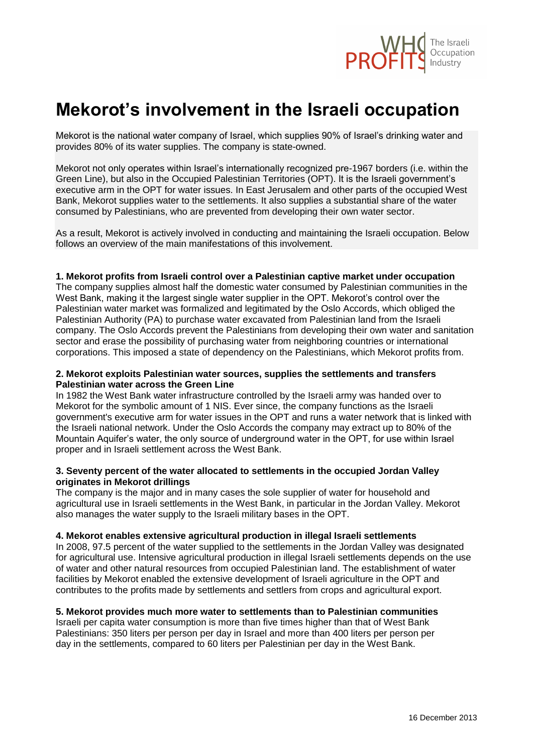

# **Mekorot's involvement in the Israeli occupation**

Mekorot is the national water company of Israel, which supplies 90% of Israel's drinking water and provides 80% of its water supplies. The company is state-owned.

Mekorot not only operates within Israel's internationally recognized pre-1967 borders (i.e. within the Green Line), but also in the Occupied Palestinian Territories (OPT). It is the Israeli government's executive arm in the OPT for water issues. In East Jerusalem and other parts of the occupied West Bank, Mekorot supplies water to the settlements. It also supplies a substantial share of the water consumed by Palestinians, who are prevented from developing their own water sector.

As a result, Mekorot is actively involved in conducting and maintaining the Israeli occupation. Below follows an overview of the main manifestations of this involvement.

#### **1. Mekorot profits from Israeli control over a Palestinian captive market under occupation**

The company supplies almost half the domestic water consumed by Palestinian communities in the West Bank, making it the largest single water supplier in the OPT. Mekorot's control over the Palestinian water market was formalized and legitimated by the Oslo Accords, which obliged the Palestinian Authority (PA) to purchase water excavated from Palestinian land from the Israeli company. The Oslo Accords prevent the Palestinians from developing their own water and sanitation sector and erase the possibility of purchasing water from neighboring countries or international corporations. This imposed a state of dependency on the Palestinians, which Mekorot profits from.

### **2. Mekorot exploits Palestinian water sources, supplies the settlements and transfers Palestinian water across the Green Line**

In 1982 the West Bank water infrastructure controlled by the Israeli army was handed over to Mekorot for the symbolic amount of 1 NIS. Ever since, the company functions as the Israeli government's executive arm for water issues in the OPT and runs a water network that is linked with the Israeli national network. Under the Oslo Accords the company may extract up to 80% of the Mountain Aquifer's water, the only source of underground water in the OPT, for use within Israel proper and in Israeli settlement across the West Bank.

### **3. Seventy percent of the water allocated to settlements in the occupied Jordan Valley originates in Mekorot drillings**

The company is the major and in many cases the sole supplier of water for household and agricultural use in Israeli settlements in the West Bank, in particular in the Jordan Valley. Mekorot also manages the water supply to the Israeli military bases in the OPT.

## **4. Mekorot enables extensive agricultural production in illegal Israeli settlements**

In 2008, 97.5 percent of the water supplied to the settlements in the Jordan Valley was designated for agricultural use. Intensive agricultural production in illegal Israeli settlements depends on the use of water and other natural resources from occupied Palestinian land. The establishment of water facilities by Mekorot enabled the extensive development of Israeli agriculture in the OPT and contributes to the profits made by settlements and settlers from crops and agricultural export.

## **5. Mekorot provides much more water to settlements than to Palestinian communities**

Israeli per capita water consumption is more than five times higher than that of West Bank Palestinians: 350 liters per person per day in Israel and more than 400 liters per person per day in the settlements, compared to 60 liters per Palestinian per day in the West Bank.